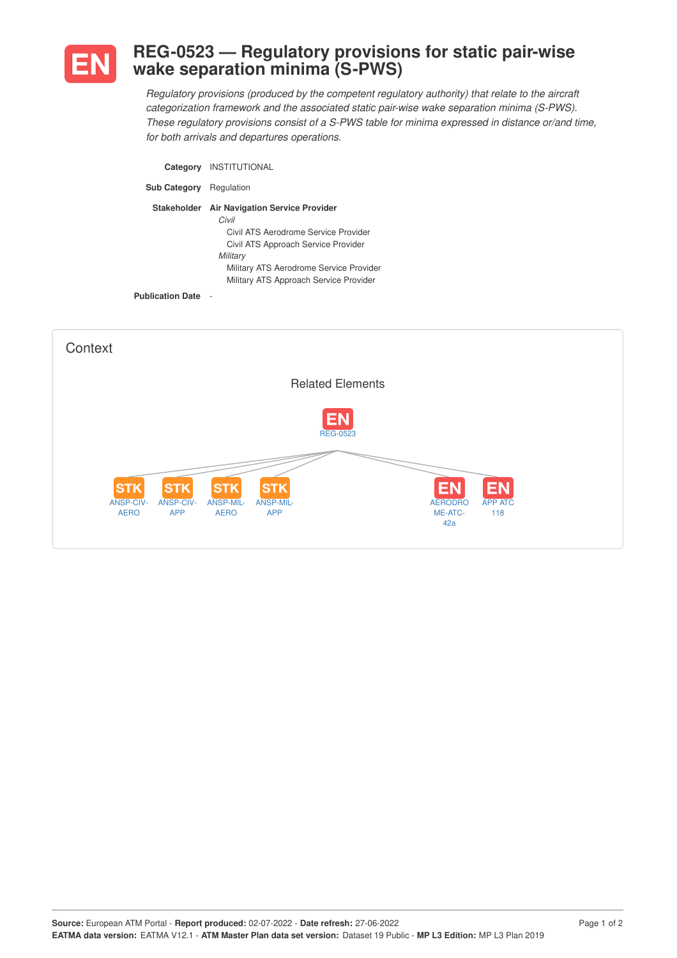

## **REG-0523 — Regulatory provisions for static pair-wise wake separation minima (S-PWS)**

*Regulatory provisions (produced by the competent regulatory authority) that relate to the aircraft categorization framework and the associated static pair-wise wake separation minima (S-PWS). These regulatory provisions consist of a S-PWS table for minima expressed in distance or/and time, for both arrivals and departures operations.*

| Category                  | <b>INSTITUTIONAL</b>                                                                                                                                                                                                            |
|---------------------------|---------------------------------------------------------------------------------------------------------------------------------------------------------------------------------------------------------------------------------|
| <b>Sub Category</b>       | Regulation                                                                                                                                                                                                                      |
| <b>Stakeholder</b>        | <b>Air Navigation Service Provider</b><br>Civil<br>Civil ATS Aerodrome Service Provider<br>Civil ATS Approach Service Provider<br>Military<br>Military ATS Aerodrome Service Provider<br>Military ATS Approach Service Provider |
| <b>Publication Date -</b> |                                                                                                                                                                                                                                 |